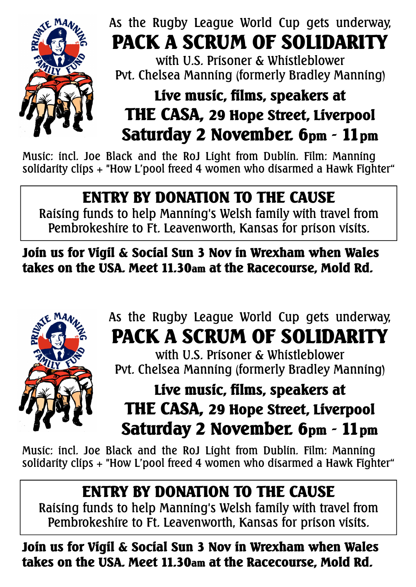

#### As the Rugby League World Cup gets underway, **PACK A SCRUM OF SOLIDARITY**

with U.S. Prisoner & Whistleblower Pvt. Chelsea Manning (formerly Bradley Manning)

# **Live music, films, speakers at THE CASA, 29 Hope Street, Liverpool Saturday 2 November. 6pm - 11pm**

Music: incl. Joe Black and the RoJ Light from Dublin. Film: Manning solidarity clips + "How L'pool freed 4 women who disarmed a Hawk Fighter"

### **ENTRY BY DONATION TO THE CAUSE**

Raising funds to help Manning's Welsh family with travel from Pembrokeshire to Ft. Leavenworth, Kansas for prison visits.

**Join us for Vigil & Social Sun 3 Nov in Wrexham when Wales takes on the USA. Meet 11.30am at the Racecourse, Mold Rd.**



### As the Rugby League World Cup gets underway, **PACK A SCRUM OF SOLIDARITY**

with U.S. Prisoner & Whistleblower Pvt. Chelsea Manning (formerly Bradley Manning)

# **Live music, films, speakers at THE CASA, 29 Hope Street, Liverpool Saturday 2 November. 6pm - 11pm**

Music: incl. Joe Black and the RoJ Light from Dublin. Film: Manning solidarity clips + "How L'pool freed 4 women who disarmed a Hawk Fighter"

# **ENTRY BY DONATION TO THE CAUSE**

Raising funds to help Manning's Welsh family with travel from Pembrokeshire to Ft. Leavenworth, Kansas for prison visits.

**Join us for Vigil & Social Sun 3 Nov in Wrexham when Wales takes on the USA. Meet 11.30am at the Racecourse, Mold Rd.**